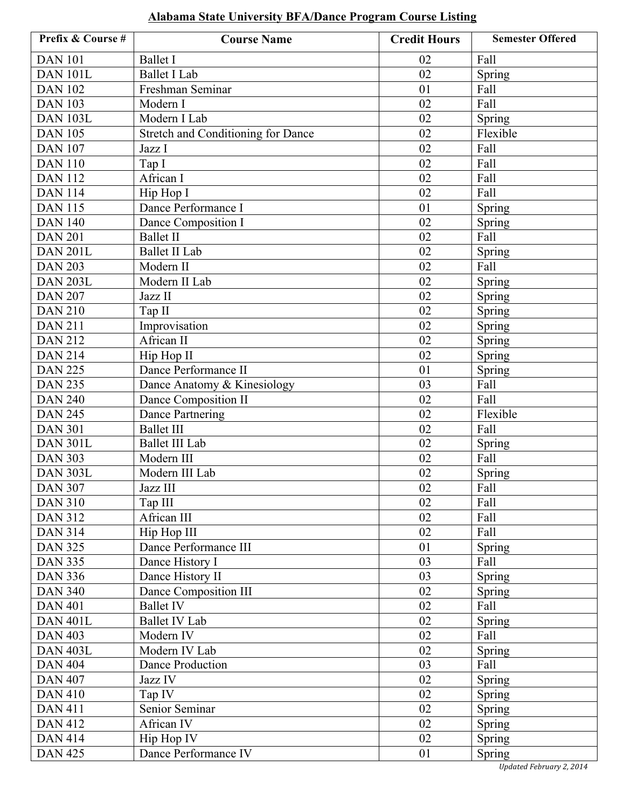| Prefix & Course # | <b>Course Name</b>                        | <b>Credit Hours</b> | <b>Semester Offered</b> |
|-------------------|-------------------------------------------|---------------------|-------------------------|
| <b>DAN 101</b>    | <b>Ballet I</b>                           | 02                  | Fall                    |
| <b>DAN 101L</b>   | <b>Ballet I Lab</b>                       | 02                  | Spring                  |
| <b>DAN 102</b>    | Freshman Seminar                          | 01                  | Fall                    |
| <b>DAN 103</b>    | Modern I                                  | 02                  | Fall                    |
| <b>DAN 103L</b>   | Modern I Lab                              | 02                  | Spring                  |
| <b>DAN 105</b>    | <b>Stretch and Conditioning for Dance</b> | 02                  | Flexible                |
| <b>DAN 107</b>    | Jazz I                                    | 02                  | Fall                    |
| <b>DAN 110</b>    | Tap I                                     | 02                  | Fall                    |
| <b>DAN 112</b>    | African I                                 | 02                  | Fall                    |
| <b>DAN 114</b>    | Hip Hop I                                 | 02                  | Fall                    |
| <b>DAN 115</b>    | Dance Performance I                       | 01                  | Spring                  |
| <b>DAN 140</b>    | Dance Composition I                       | 02                  | Spring                  |
| <b>DAN 201</b>    | <b>Ballet II</b>                          | 02                  | Fall                    |
| <b>DAN 201L</b>   | <b>Ballet II Lab</b>                      | 02                  | Spring                  |
| <b>DAN 203</b>    | Modern II                                 | 02                  | Fall                    |
| <b>DAN 203L</b>   | Modern II Lab                             | 02                  | Spring                  |
| <b>DAN 207</b>    | Jazz II                                   | 02                  | Spring                  |
| <b>DAN 210</b>    | Tap II                                    | 02                  | Spring                  |
| <b>DAN 211</b>    | Improvisation                             | 02                  | Spring                  |
| <b>DAN 212</b>    | African II                                | 02                  | Spring                  |
| <b>DAN 214</b>    | Hip Hop II                                | 02                  | Spring                  |
| <b>DAN 225</b>    | Dance Performance II                      | 01                  | Spring                  |
| <b>DAN 235</b>    | Dance Anatomy & Kinesiology               | 03                  | Fall                    |
| <b>DAN 240</b>    | Dance Composition II                      | 02                  | Fall                    |
| <b>DAN 245</b>    | Dance Partnering                          | 02                  | Flexible                |
| <b>DAN 301</b>    | <b>Ballet III</b>                         | 02                  | Fall                    |
| <b>DAN 301L</b>   | <b>Ballet III Lab</b>                     | 02                  | Spring                  |
| <b>DAN 303</b>    | Modern III                                | 02                  | Fall                    |
| <b>DAN 303L</b>   | Modern III Lab                            | 02                  | Spring                  |
| <b>DAN 307</b>    | Jazz III                                  | $02\,$              | Fall                    |
| <b>DAN 310</b>    | Tap III                                   | 02                  | Fall                    |
| <b>DAN 312</b>    | African III                               | 02                  | Fall                    |
| <b>DAN 314</b>    | Hip Hop III                               | 02                  | Fall                    |
| <b>DAN 325</b>    | Dance Performance III                     | 01                  | Spring                  |
| <b>DAN 335</b>    | Dance History I                           | 03                  | Fall                    |
| <b>DAN 336</b>    | Dance History II                          | 03                  | <b>Spring</b>           |
| <b>DAN 340</b>    | Dance Composition III                     | 02                  | <b>Spring</b>           |
| <b>DAN 401</b>    | <b>Ballet IV</b>                          | 02                  | Fall                    |
| <b>DAN 401L</b>   | <b>Ballet IV Lab</b>                      | 02                  | Spring                  |
| <b>DAN 403</b>    | Modern IV                                 | 02                  | Fall                    |
| <b>DAN 403L</b>   | Modern IV Lab                             | 02                  | Spring                  |
| <b>DAN 404</b>    | Dance Production                          | 03                  | Fall                    |
| <b>DAN 407</b>    | Jazz IV                                   | 02                  | Spring                  |
| <b>DAN 410</b>    | Tap IV                                    | 02                  | Spring                  |
| <b>DAN 411</b>    | Senior Seminar                            | 02                  | Spring                  |
| <b>DAN 412</b>    | African IV                                | 02                  | Spring                  |
| <b>DAN 414</b>    | Hip Hop IV                                | 02                  | Spring                  |
| <b>DAN 425</b>    | Dance Performance IV                      | 01                  | <b>Spring</b>           |

## **Alabama State University BFA/Dance Program Course Listing**

*Updated February 2, 2014*